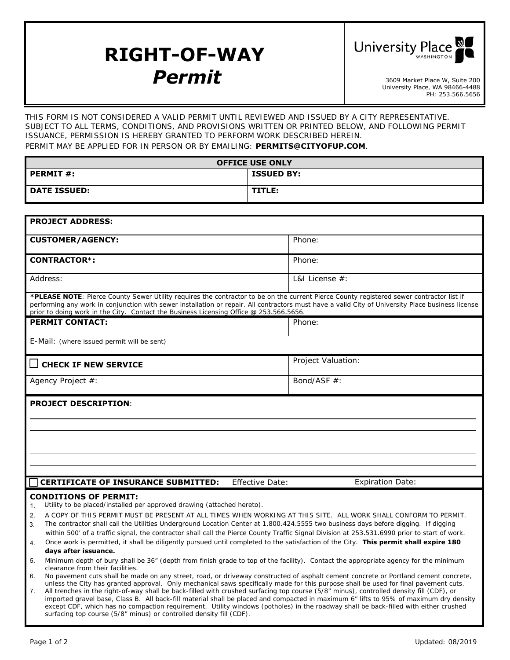## **RIGHT-OF-WAY Permit** 3609 Market Place W, Suite 200



University Place, WA 98466-4488 PH: 253.566.5656

THIS FORM IS NOT CONSIDERED A VALID PERMIT UNTIL REVIEWED AND ISSUED BY A CITY REPRESENTATIVE. SUBJECT TO ALL TERMS, CONDITIONS, AND PROVISIONS WRITTEN OR PRINTED BELOW, AND FOLLOWING PERMIT ISSUANCE, PERMISSION IS HEREBY GRANTED TO PERFORM WORK DESCRIBED HEREIN. PERMIT MAY BE APPLIED FOR IN PERSON OR BY EMAILING: **PERMITS@CITYOFUP.COM**.

**OFFICE USE ONLY PERMIT #:** ISSUED BY:

| <b>DATE ISSUED:</b>                                                                                                                                                                                                                                                                                                                                                                                                                    | TITLE:                 |                         |
|----------------------------------------------------------------------------------------------------------------------------------------------------------------------------------------------------------------------------------------------------------------------------------------------------------------------------------------------------------------------------------------------------------------------------------------|------------------------|-------------------------|
|                                                                                                                                                                                                                                                                                                                                                                                                                                        |                        |                         |
| <b>PROJECT ADDRESS:</b>                                                                                                                                                                                                                                                                                                                                                                                                                |                        |                         |
| <b>CUSTOMER/AGENCY:</b>                                                                                                                                                                                                                                                                                                                                                                                                                |                        | Phone:                  |
| <b>CONTRACTOR*:</b>                                                                                                                                                                                                                                                                                                                                                                                                                    |                        | Phone:                  |
| Address:                                                                                                                                                                                                                                                                                                                                                                                                                               |                        | L&I License $#$ :       |
| *PLEASE NOTE: Pierce County Sewer Utility requires the contractor to be on the current Pierce County registered sewer contractor list if<br>performing any work in conjunction with sewer installation or repair. All contractors must have a valid City of University Place business license<br>prior to doing work in the City. Contact the Business Licensing Office @ 253.566.5656.                                                |                        |                         |
| <b>PERMIT CONTACT:</b>                                                                                                                                                                                                                                                                                                                                                                                                                 |                        | Phone:                  |
| E-Mail: (where issued permit will be sent)                                                                                                                                                                                                                                                                                                                                                                                             |                        |                         |
| $\Box$ CHECK IF NEW SERVICE                                                                                                                                                                                                                                                                                                                                                                                                            |                        | Project Valuation:      |
| Agency Project #:                                                                                                                                                                                                                                                                                                                                                                                                                      |                        | Bond/ASF #:             |
| <b>PROJECT DESCRIPTION:</b>                                                                                                                                                                                                                                                                                                                                                                                                            |                        |                         |
|                                                                                                                                                                                                                                                                                                                                                                                                                                        |                        |                         |
|                                                                                                                                                                                                                                                                                                                                                                                                                                        |                        |                         |
|                                                                                                                                                                                                                                                                                                                                                                                                                                        |                        |                         |
|                                                                                                                                                                                                                                                                                                                                                                                                                                        |                        |                         |
| <b>CERTIFICATE OF INSURANCE SUBMITTED:</b>                                                                                                                                                                                                                                                                                                                                                                                             | <b>Effective Date:</b> | <b>Expiration Date:</b> |
| <b>CONDITIONS OF PERMIT:</b><br>Utility to be placed/installed per approved drawing (attached hereto).<br>$\mathbf{1}$ .<br>A COPY OF THIS PERMIT MUST BE PRESENT AT ALL TIMES WHEN WORKING AT THIS SITE. ALL WORK SHALL CONFORM TO PERMIT.<br>2.                                                                                                                                                                                      |                        |                         |
| The contractor shall call the Utilities Underground Location Center at 1.800.424.5555 two business days before digging. If digging<br>3.<br>within 500' of a traffic signal, the contractor shall call the Pierce County Traffic Signal Division at 253.531.6990 prior to start of work.<br>Once work is permitted, it shall be diligently pursued until completed to the satisfaction of the City. This permit shall expire 180<br>4. |                        |                         |
| days after issuance.                                                                                                                                                                                                                                                                                                                                                                                                                   |                        |                         |
| Minimum depth of bury shall be 36" (depth from finish grade to top of the facility). Contact the appropriate agency for the minimum<br>5.<br>clearance from their facilities.                                                                                                                                                                                                                                                          |                        |                         |

6. No pavement cuts shall be made on any street, road, or driveway constructed of asphalt cement concrete or Portland cement concrete, unless the City has granted approval. Only mechanical saws specifically made for this purpose shall be used for final pavement cuts.

7. All trenches in the right-of-way shall be back-filled with crushed surfacing top course (5/8" minus), controlled density fill (CDF), or imported gravel base, Class B. All back-fill material shall be placed and compacted in maximum 6" lifts to 95% of maximum dry density except CDF, which has no compaction requirement. Utility windows (potholes) in the roadway shall be back-filled with either crushed surfacing top course (5/8" minus) or controlled density fill (CDF).